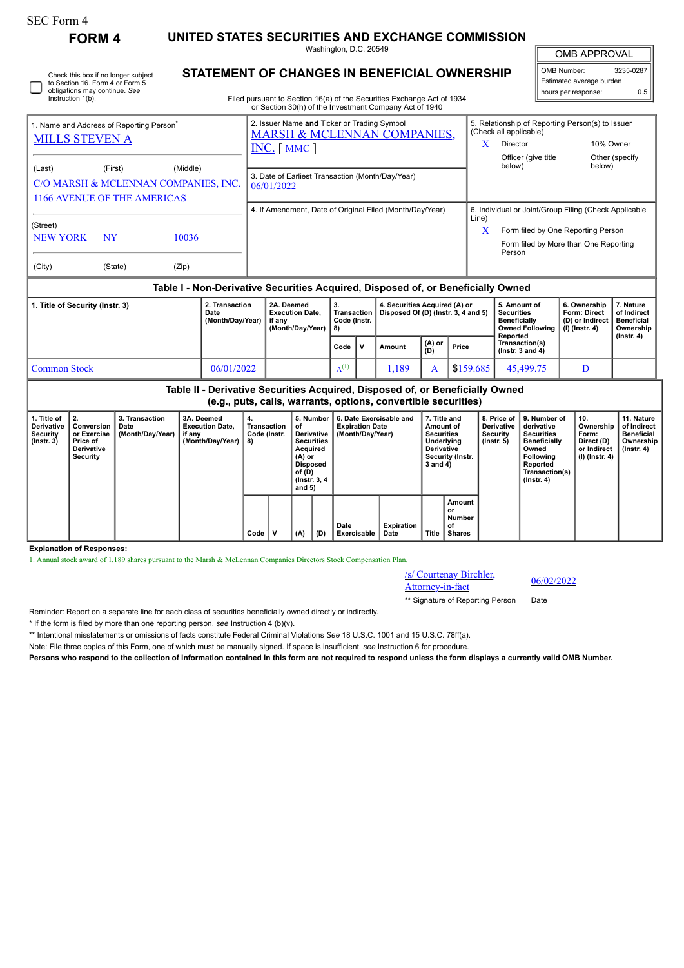Instruction 1(b).

Check this box if no longer subject to Section 16. Form 4 or Form 5 obligations may continue. *See*

# **FORM 4 UNITED STATES SECURITIES AND EXCHANGE COMMISSION**

Washington, D.C. 20549 **STATEMENT OF CHANGES IN BENEFICIAL OWNERSHIP**

|  |  | <b>OMB APPROVAL</b> |  |  |  |
|--|--|---------------------|--|--|--|
|  |  |                     |  |  |  |

OMB Number: 3235-0287 Estimated average burden hours per response: 0.5

| Filed pursuant to Section 16(a) of the Securities Exchange Act of 1934 |
|------------------------------------------------------------------------|
| as Castian 20/h) of the Investment Company Ast of 1010                 |

|                                                                               |                      |                                                  | or Section 30(h) of the Investment Company Act of 1940                                                            |            |                                                                                                                                                |                             |
|-------------------------------------------------------------------------------|----------------------|--------------------------------------------------|-------------------------------------------------------------------------------------------------------------------|------------|------------------------------------------------------------------------------------------------------------------------------------------------|-----------------------------|
| 1. Name and Address of Reporting Person <sup>®</sup><br><b>MILLS STEVEN A</b> |                      |                                                  | 2. Issuer Name and Ticker or Trading Symbol<br><b>MARSH &amp; MCLENNAN COMPANIES,</b><br>$INC. \lceil MMC \rceil$ | x          | 5. Relationship of Reporting Person(s) to Issuer<br>(Check all applicable)<br>Director<br>Officer (give title)                                 | 10% Owner<br>Other (specify |
| (Last)<br>1166 AVENUE OF THE AMERICAS                                         | (First)              | (Middle)<br>C/O MARSH & MCLENNAN COMPANIES, INC. | 3. Date of Earliest Transaction (Month/Day/Year)<br>06/01/2022                                                    |            | below)                                                                                                                                         | below)                      |
| (Street)<br><b>NEW YORK</b><br>(City)                                         | <b>NY</b><br>(State) | 10036<br>(Zip)                                   | 4. If Amendment, Date of Original Filed (Month/Day/Year)                                                          | Line)<br>x | 6. Individual or Joint/Group Filing (Check Applicable<br>Form filed by One Reporting Person<br>Form filed by More than One Reporting<br>Person |                             |

## **Table I - Non-Derivative Securities Acquired, Disposed of, or Beneficially Owned**

| 1. Title of Security (Instr. 3) | 2. Transaction<br>Date<br>(Month/Day/Year) | 2A. Deemed<br><b>Execution Date.</b><br>if anv<br>(Month/Dav/Year)   8) | 3.<br>Transaction 1<br>Code (Instr. |  | 4. Securities Acquired (A) or<br>Disposed Of (D) (Instr. 3, 4 and 5) |                |           | , 5. Amount of<br>Securities<br><b>Beneficially</b><br>Owned Following   (I) (Instr. 4)<br>Reported | 6. Ownership<br><b>Form: Direct</b><br>(D) or Indirect | . Nature<br>of Indirect<br><b>Beneficial</b><br>Ownership |
|---------------------------------|--------------------------------------------|-------------------------------------------------------------------------|-------------------------------------|--|----------------------------------------------------------------------|----------------|-----------|-----------------------------------------------------------------------------------------------------|--------------------------------------------------------|-----------------------------------------------------------|
|                                 |                                            |                                                                         | $Code$ $ V $                        |  | Amount                                                               | $(A)$ or $(D)$ | Price     | Transaction(s)<br>( $lnstr. 3 and 4$ )                                                              |                                                        | $($ lnstr. 4 $)$                                          |
| Common Stock                    | 06/01/2022                                 |                                                                         | $A^{(1)}$                           |  | .189                                                                 |                | \$159.685 | 45,499.75                                                                                           |                                                        |                                                           |

|                                                                  | Table II - Derivative Securities Acquired, Disposed of, or Beneficially Owned<br>(e.g., puts, calls, warrants, options, convertible securities) |                                            |                                                                    |                                         |  |                                                                                                                               |     |                                                                       |                           |                                                                                                                   |                                        |                                                                  |                                                                                                                                                |                                                                            |                                                                                 |
|------------------------------------------------------------------|-------------------------------------------------------------------------------------------------------------------------------------------------|--------------------------------------------|--------------------------------------------------------------------|-----------------------------------------|--|-------------------------------------------------------------------------------------------------------------------------------|-----|-----------------------------------------------------------------------|---------------------------|-------------------------------------------------------------------------------------------------------------------|----------------------------------------|------------------------------------------------------------------|------------------------------------------------------------------------------------------------------------------------------------------------|----------------------------------------------------------------------------|---------------------------------------------------------------------------------|
| 1. Title of<br><b>Derivative</b><br>Security<br>$($ lnstr. 3 $)$ | Conversion<br>or Exercise<br>Price of<br><b>Derivative</b><br>Security                                                                          | 3. Transaction<br>Date<br>(Month/Day/Year) | 3A. Deemed<br><b>Execution Date.</b><br>if any<br>(Month/Day/Year) | 4.<br>Transaction<br>Code (Instr.<br>8) |  | 5. Number<br>οf<br>Derivative<br><b>Securities</b><br>Acquired<br>$(A)$ or<br>Disposed<br>of (D)<br>(Instr. 3, 4)<br>and $5)$ |     | 6. Date Exercisable and<br><b>Expiration Date</b><br>(Month/Day/Year) |                           | 7. Title and<br>Amount of<br><b>Securities</b><br>Underlying<br><b>Derivative</b><br>Security (Instr.<br>3 and 4) |                                        | 8. Price of<br><b>Derivative</b><br>Security<br>$($ lnstr. 5 $)$ | 9. Number of<br>derivative<br><b>Securities</b><br><b>Beneficially</b><br>Owned<br>Following<br>Reported<br>Transaction(s)<br>$($ Instr. 4 $)$ | 10.<br>Ownership<br>Form:<br>Direct (D)<br>or Indirect<br>  (I) (Instr. 4) | 11. Nature<br>of Indirect<br><b>Beneficial</b><br>Ownership<br>$($ lnstr. 4 $)$ |
|                                                                  |                                                                                                                                                 |                                            |                                                                    | Code                                    |  | (A)                                                                                                                           | (D) | Date<br>Exercisable                                                   | <b>Expiration</b><br>Date | Title                                                                                                             | Amount<br>or<br>Number<br>οf<br>Shares |                                                                  |                                                                                                                                                |                                                                            |                                                                                 |

### **Explanation of Responses:**

1. Annual stock award of 1,189 shares pursuant to the Marsh & McLennan Companies Directors Stock Compensation Plan.

| /s/ Courtenay Birchler, |  |
|-------------------------|--|
| Attorney-in-fact        |  |

\*\* Signature of Reporting Person Date

Reminder: Report on a separate line for each class of securities beneficially owned directly or indirectly.

\* If the form is filed by more than one reporting person, *see* Instruction 4 (b)(v).

\*\* Intentional misstatements or omissions of facts constitute Federal Criminal Violations *See* 18 U.S.C. 1001 and 15 U.S.C. 78ff(a).

Note: File three copies of this Form, one of which must be manually signed. If space is insufficient, *see* Instruction 6 for procedure.

**Persons who respond to the collection of information contained in this form are not required to respond unless the form displays a currently valid OMB Number.**

Attorney-in-fact 06/02/2022